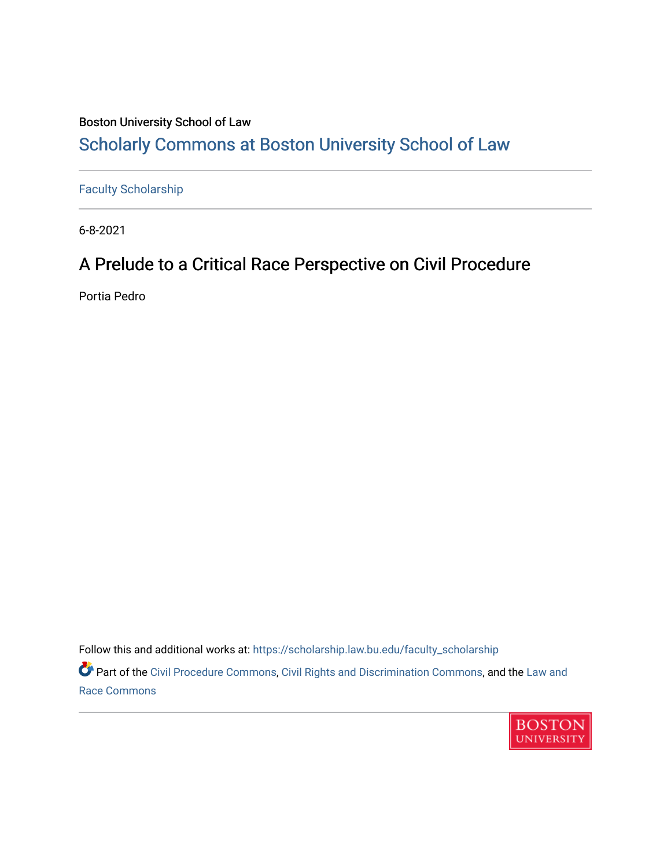# Boston University School of Law [Scholarly Commons at Boston University School of Law](https://scholarship.law.bu.edu/)

[Faculty Scholarship](https://scholarship.law.bu.edu/faculty_scholarship)

6-8-2021

# A Prelude to a Critical Race Perspective on Civil Procedure

Portia Pedro

Follow this and additional works at: [https://scholarship.law.bu.edu/faculty\\_scholarship](https://scholarship.law.bu.edu/faculty_scholarship?utm_source=scholarship.law.bu.edu%2Ffaculty_scholarship%2F1339&utm_medium=PDF&utm_campaign=PDFCoverPages) Part of the [Civil Procedure Commons,](http://network.bepress.com/hgg/discipline/584?utm_source=scholarship.law.bu.edu%2Ffaculty_scholarship%2F1339&utm_medium=PDF&utm_campaign=PDFCoverPages) [Civil Rights and Discrimination Commons,](http://network.bepress.com/hgg/discipline/585?utm_source=scholarship.law.bu.edu%2Ffaculty_scholarship%2F1339&utm_medium=PDF&utm_campaign=PDFCoverPages) and the Law and



[Race Commons](http://network.bepress.com/hgg/discipline/1300?utm_source=scholarship.law.bu.edu%2Ffaculty_scholarship%2F1339&utm_medium=PDF&utm_campaign=PDFCoverPages)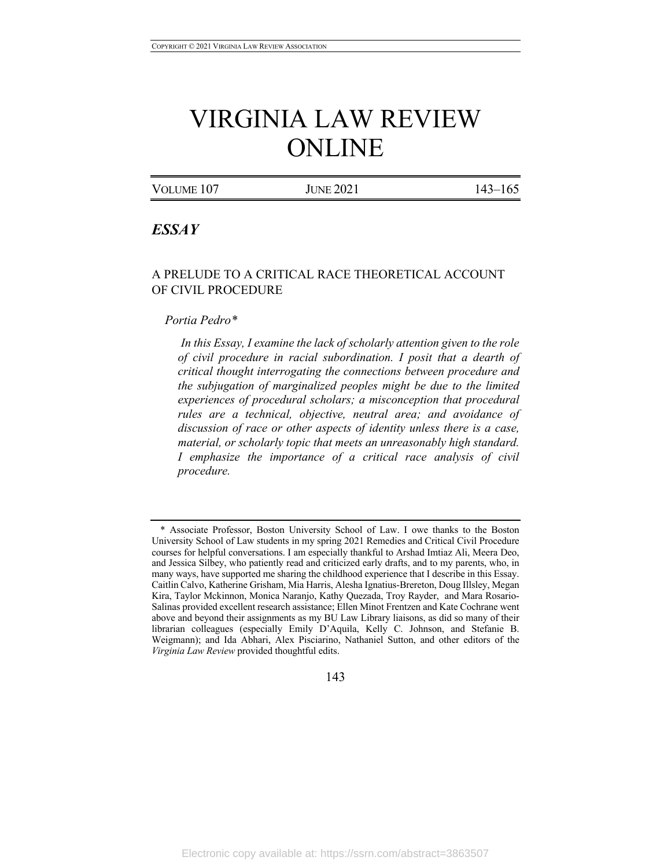# VIRGINIA LAW REVIEW ONLINE

VOLUME 107 JUNE 2021 143-165

# *ESSAY*

# A PRELUDE TO A CRITICAL RACE THEORETICAL ACCOUNT OF CIVIL PROCEDURE

#### *Portia Pedro\**

*In this Essay, I examine the lack of scholarly attention given to the role of civil procedure in racial subordination. I posit that a dearth of critical thought interrogating the connections between procedure and the subjugation of marginalized peoples might be due to the limited experiences of procedural scholars; a misconception that procedural rules are a technical, objective, neutral area; and avoidance of discussion of race or other aspects of identity unless there is a case, material, or scholarly topic that meets an unreasonably high standard. I emphasize the importance of a critical race analysis of civil procedure.*

143

<sup>\*</sup> Associate Professor, Boston University School of Law. I owe thanks to the Boston University School of Law students in my spring 2021 Remedies and Critical Civil Procedure courses for helpful conversations. I am especially thankful to Arshad Imtiaz Ali, Meera Deo, and Jessica Silbey, who patiently read and criticized early drafts, and to my parents, who, in many ways, have supported me sharing the childhood experience that I describe in this Essay. Caitlin Calvo, Katherine Grisham, Mia Harris, Alesha Ignatius-Brereton, Doug Illsley, Megan Kira, Taylor Mckinnon, Monica Naranjo, Kathy Quezada, Troy Rayder, and Mara Rosario-Salinas provided excellent research assistance; Ellen Minot Frentzen and Kate Cochrane went above and beyond their assignments as my BU Law Library liaisons, as did so many of their librarian colleagues (especially Emily D'Aquila, Kelly C. Johnson, and Stefanie B. Weigmann); and Ida Abhari, Alex Pisciarino, Nathaniel Sutton, and other editors of the *Virginia Law Review* provided thoughtful edits.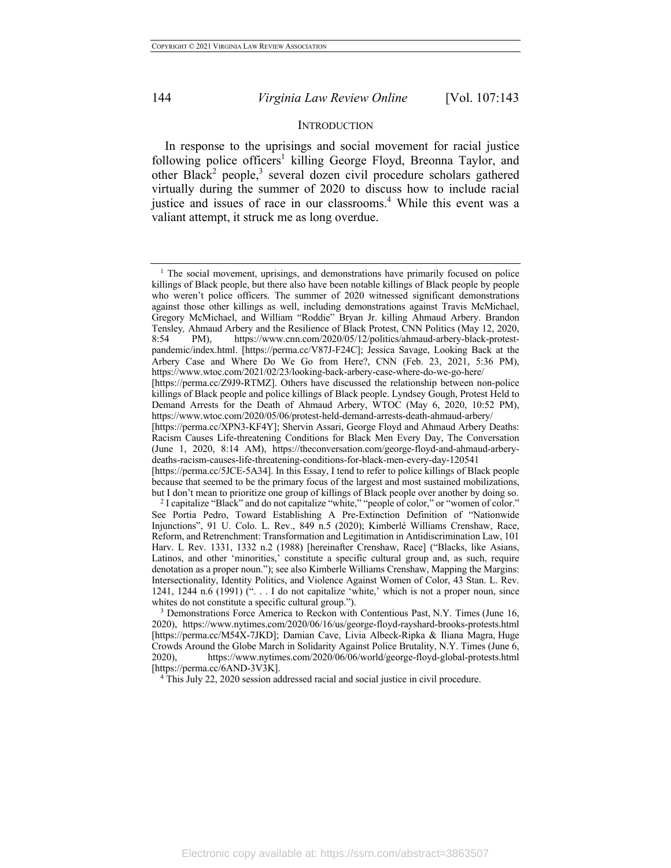#### **INTRODUCTION**

In response to the uprisings and social movement for racial justice following police officers<sup>1</sup> killing George Floyd, Breonna Taylor, and other Black<sup>2</sup> people,<sup>3</sup> several dozen civil procedure scholars gathered virtually during the summer of 2020 to discuss how to include racial justice and issues of race in our classrooms.<sup>4</sup> While this event was a valiant attempt, it struck me as long overdue.

<sup>4</sup> This July 22, 2020 session addressed racial and social justice in civil procedure.

<sup>&</sup>lt;sup>1</sup> The social movement, uprisings, and demonstrations have primarily focused on police killings of Black people, but there also have been notable killings of Black people by people who weren't police officers. The summer of 2020 witnessed significant demonstrations against those other killings as well, including demonstrations against Travis McMichael, Gregory McMichael, and William "Roddie" Bryan Jr. killing Ahmaud Arbery. Brandon Tensley*,* Ahmaud Arbery and the Resilience of Black Protest, CNN Politics (May 12, 2020, 8:54 PM), https://www.cnn.com/2020/05/12/politics/ahmaud-arbery-black-protestpandemic/index.html. [https://perma.cc/V87J-F24C]; Jessica Savage, Looking Back at the Arbery Case and Where Do We Go from Here?, CNN (Feb. 23, 2021, 5:36 PM), https://www.wtoc.com/2021/02/23/looking-back-arbery-case-where-do-we-go-here/ [https://perma.cc/Z9J9-RTMZ]. Others have discussed the relationship between non-police

killings of Black people and police killings of Black people. Lyndsey Gough, Protest Held to Demand Arrests for the Death of Ahmaud Arbery, WTOC (May 6, 2020, 10:52 PM), https://www.wtoc.com/2020/05/06/protest-held-demand-arrests-death-ahmaud-arbery/

<sup>[</sup>https://perma.cc/XPN3-KF4Y]; Shervin Assari, George Floyd and Ahmaud Arbery Deaths: Racism Causes Life-threatening Conditions for Black Men Every Day, The Conversation (June 1, 2020, 8:14 AM), https://theconversation.com/george-floyd-and-ahmaud-arberydeaths-racism-causes-life-threatening-conditions-for-black-men-every-day-120541

<sup>[</sup>https://perma.cc/5JCE-5A34]. In this Essay, I tend to refer to police killings of Black people because that seemed to be the primary focus of the largest and most sustained mobilizations, but I don't mean to prioritize one group of killings of Black people over another by doing so.

<sup>2</sup> I capitalize "Black" and do not capitalize "white," "people of color," or "women of color." See Portia Pedro, Toward Establishing A Pre-Extinction Definition of "Nationwide Injunctions", 91 U. Colo. L. Rev., 849 n.5 (2020); Kimberlé Williams Crenshaw, Race, Reform, and Retrenchment: Transformation and Legitimation in Antidiscrimination Law, 101 Harv. L Rev. 1331, 1332 n.2 (1988) [hereinafter Crenshaw, Race] ("Blacks, like Asians, Latinos, and other 'minorities,' constitute a specific cultural group and, as such, require denotation as a proper noun."); see also Kimberle Williams Crenshaw, Mapping the Margins: Intersectionality, Identity Politics, and Violence Against Women of Color, 43 Stan. L. Rev. 1241, 1244 n.6 (1991) (". . . I do not capitalize 'white,' which is not a proper noun, since whites do not constitute a specific cultural group.").

<sup>3</sup> Demonstrations Force America to Reckon with Contentious Past, N.Y. Times (June 16, 2020), https://www.nytimes.com/2020/06/16/us/george-floyd-rayshard-brooks-protests.html [https://perma.cc/M54X-7JKD]; Damian Cave, Livia Albeck-Ripka & Iliana Magra, Huge Crowds Around the Globe March in Solidarity Against Police Brutality, N.Y. Times (June 6, 2020), https://www.nytimes.com/2020/06/06/world/george-floyd-global-protests.html [https://perma.cc/6AND-3V3K].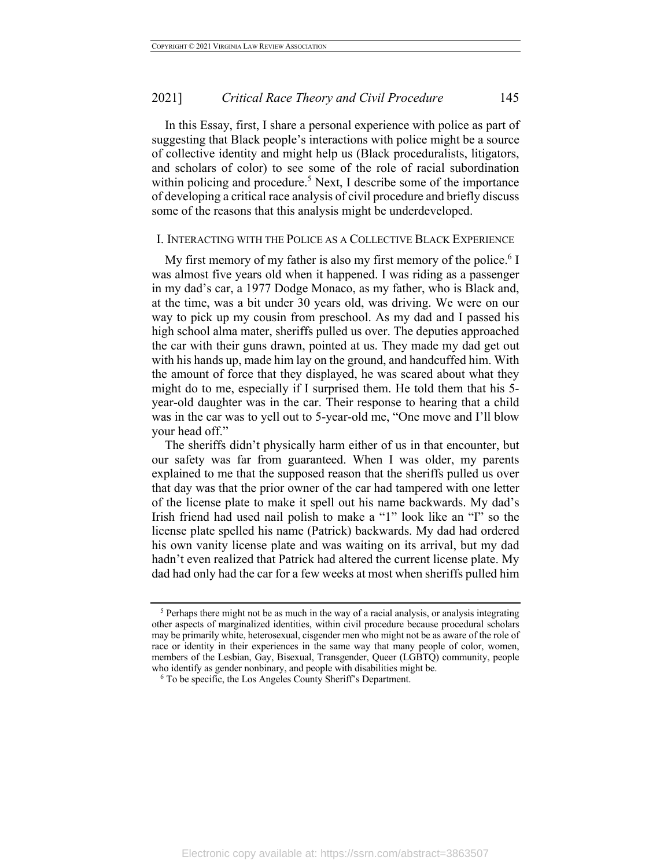In this Essay, first, I share a personal experience with police as part of suggesting that Black people's interactions with police might be a source of collective identity and might help us (Black proceduralists, litigators, and scholars of color) to see some of the role of racial subordination within policing and procedure.<sup>5</sup> Next, I describe some of the importance of developing a critical race analysis of civil procedure and briefly discuss some of the reasons that this analysis might be underdeveloped.

#### I. INTERACTING WITH THE POLICE AS A COLLECTIVE BLACK EXPERIENCE

My first memory of my father is also my first memory of the police.<sup>6</sup> I was almost five years old when it happened. I was riding as a passenger in my dad's car, a 1977 Dodge Monaco, as my father, who is Black and, at the time, was a bit under 30 years old, was driving. We were on our way to pick up my cousin from preschool. As my dad and I passed his high school alma mater, sheriffs pulled us over. The deputies approached the car with their guns drawn, pointed at us. They made my dad get out with his hands up, made him lay on the ground, and handcuffed him. With the amount of force that they displayed, he was scared about what they might do to me, especially if I surprised them. He told them that his 5 year-old daughter was in the car. Their response to hearing that a child was in the car was to yell out to 5-year-old me, "One move and I'll blow your head off."

The sheriffs didn't physically harm either of us in that encounter, but our safety was far from guaranteed. When I was older, my parents explained to me that the supposed reason that the sheriffs pulled us over that day was that the prior owner of the car had tampered with one letter of the license plate to make it spell out his name backwards. My dad's Irish friend had used nail polish to make a "1" look like an "I" so the license plate spelled his name (Patrick) backwards. My dad had ordered his own vanity license plate and was waiting on its arrival, but my dad hadn't even realized that Patrick had altered the current license plate. My dad had only had the car for a few weeks at most when sheriffs pulled him

<sup>5</sup> Perhaps there might not be as much in the way of a racial analysis, or analysis integrating other aspects of marginalized identities, within civil procedure because procedural scholars may be primarily white, heterosexual, cisgender men who might not be as aware of the role of race or identity in their experiences in the same way that many people of color, women, members of the Lesbian, Gay, Bisexual, Transgender, Queer (LGBTQ) community, people who identify as gender nonbinary, and people with disabilities might be.

<sup>6</sup> To be specific, the Los Angeles County Sheriff's Department.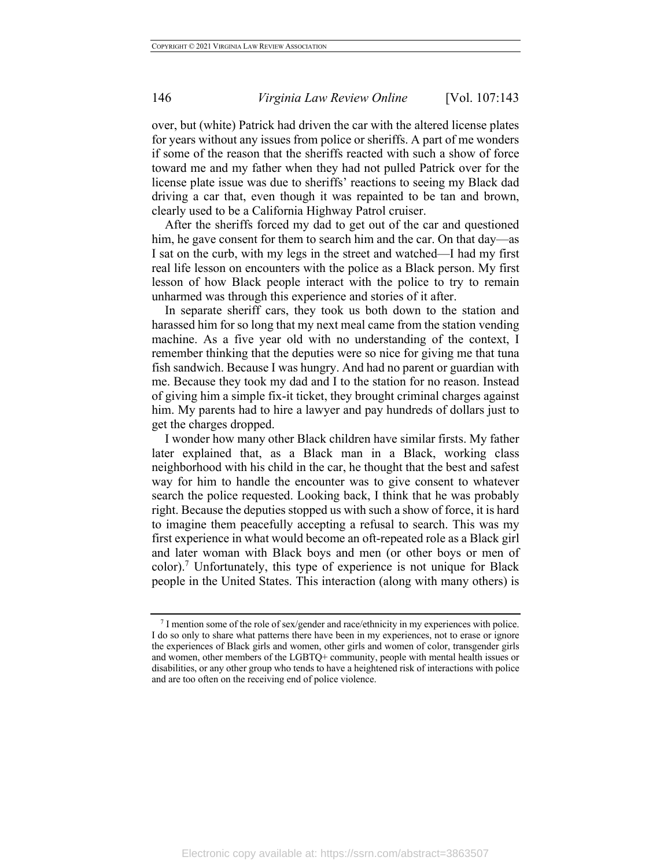over, but (white) Patrick had driven the car with the altered license plates for years without any issues from police or sheriffs. A part of me wonders if some of the reason that the sheriffs reacted with such a show of force toward me and my father when they had not pulled Patrick over for the license plate issue was due to sheriffs' reactions to seeing my Black dad driving a car that, even though it was repainted to be tan and brown, clearly used to be a California Highway Patrol cruiser.

After the sheriffs forced my dad to get out of the car and questioned him, he gave consent for them to search him and the car. On that day—as I sat on the curb, with my legs in the street and watched—I had my first real life lesson on encounters with the police as a Black person. My first lesson of how Black people interact with the police to try to remain unharmed was through this experience and stories of it after.

In separate sheriff cars, they took us both down to the station and harassed him for so long that my next meal came from the station vending machine. As a five year old with no understanding of the context, I remember thinking that the deputies were so nice for giving me that tuna fish sandwich. Because I was hungry. And had no parent or guardian with me. Because they took my dad and I to the station for no reason. Instead of giving him a simple fix-it ticket, they brought criminal charges against him. My parents had to hire a lawyer and pay hundreds of dollars just to get the charges dropped.

I wonder how many other Black children have similar firsts. My father later explained that, as a Black man in a Black, working class neighborhood with his child in the car, he thought that the best and safest way for him to handle the encounter was to give consent to whatever search the police requested. Looking back, I think that he was probably right. Because the deputies stopped us with such a show of force, it is hard to imagine them peacefully accepting a refusal to search. This was my first experience in what would become an oft-repeated role as a Black girl and later woman with Black boys and men (or other boys or men of color).7 Unfortunately, this type of experience is not unique for Black people in the United States. This interaction (along with many others) is

<sup>7</sup> I mention some of the role of sex/gender and race/ethnicity in my experiences with police. I do so only to share what patterns there have been in my experiences, not to erase or ignore the experiences of Black girls and women, other girls and women of color, transgender girls and women, other members of the LGBTQ+ community, people with mental health issues or disabilities, or any other group who tends to have a heightened risk of interactions with police and are too often on the receiving end of police violence.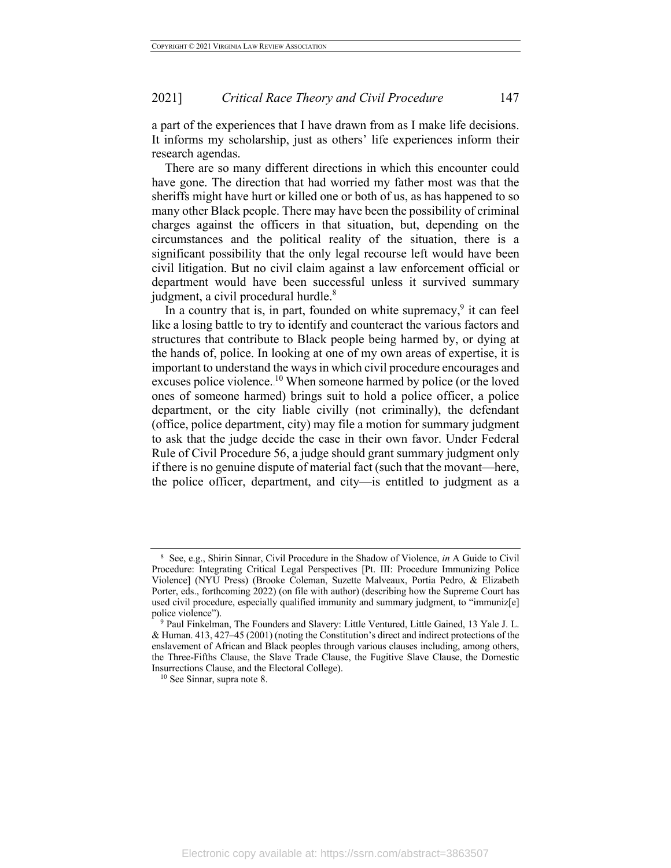a part of the experiences that I have drawn from as I make life decisions. It informs my scholarship, just as others' life experiences inform their research agendas.

There are so many different directions in which this encounter could have gone. The direction that had worried my father most was that the sheriffs might have hurt or killed one or both of us, as has happened to so many other Black people. There may have been the possibility of criminal charges against the officers in that situation, but, depending on the circumstances and the political reality of the situation, there is a significant possibility that the only legal recourse left would have been civil litigation. But no civil claim against a law enforcement official or department would have been successful unless it survived summary judgment, a civil procedural hurdle.<sup>8</sup>

In a country that is, in part, founded on white supremacy, $9$  it can feel like a losing battle to try to identify and counteract the various factors and structures that contribute to Black people being harmed by, or dying at the hands of, police. In looking at one of my own areas of expertise, it is important to understand the ways in which civil procedure encourages and excuses police violence.<sup>10</sup> When someone harmed by police (or the loved ones of someone harmed) brings suit to hold a police officer, a police department, or the city liable civilly (not criminally), the defendant (office, police department, city) may file a motion for summary judgment to ask that the judge decide the case in their own favor. Under Federal Rule of Civil Procedure 56, a judge should grant summary judgment only if there is no genuine dispute of material fact (such that the movant—here, the police officer, department, and city—is entitled to judgment as a

<sup>8</sup> See, e.g., Shirin Sinnar, Civil Procedure in the Shadow of Violence, *in* A Guide to Civil Procedure: Integrating Critical Legal Perspectives [Pt. III: Procedure Immunizing Police Violence] (NYU Press) (Brooke Coleman, Suzette Malveaux, Portia Pedro, & Elizabeth Porter, eds., forthcoming 2022) (on file with author) (describing how the Supreme Court has used civil procedure, especially qualified immunity and summary judgment, to "immuniz[e] police violence").

<sup>9</sup> Paul Finkelman, The Founders and Slavery: Little Ventured, Little Gained, 13 Yale J. L. & Human. 413, 427–45 (2001) (noting the Constitution's direct and indirect protections of the enslavement of African and Black peoples through various clauses including, among others, the Three-Fifths Clause, the Slave Trade Clause, the Fugitive Slave Clause, the Domestic Insurrections Clause, and the Electoral College).

<sup>10</sup> See Sinnar, supra note 8.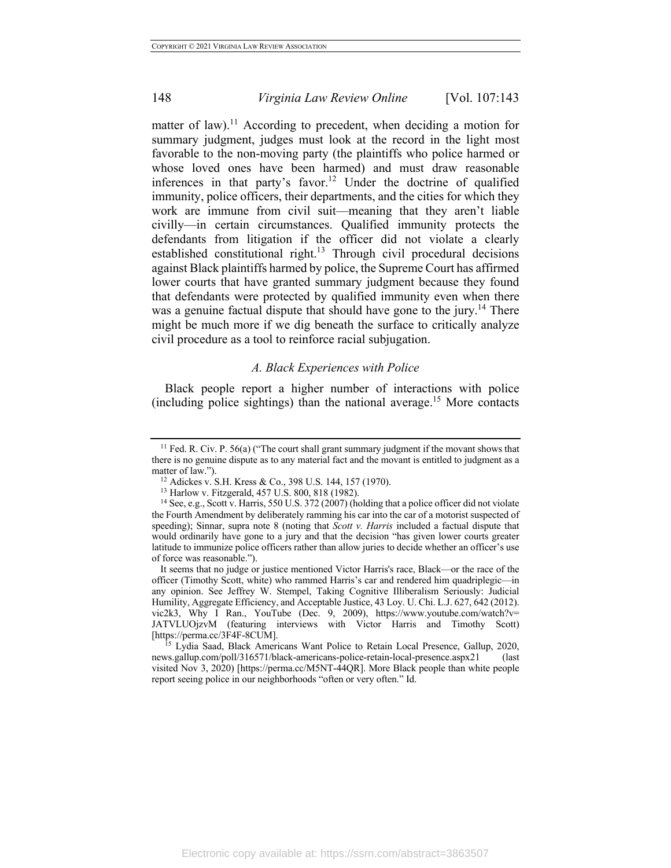matter of law).<sup>11</sup> According to precedent, when deciding a motion for summary judgment, judges must look at the record in the light most favorable to the non-moving party (the plaintiffs who police harmed or whose loved ones have been harmed) and must draw reasonable inferences in that party's favor.<sup>12</sup> Under the doctrine of qualified immunity, police officers, their departments, and the cities for which they work are immune from civil suit—meaning that they aren't liable civilly—in certain circumstances. Qualified immunity protects the defendants from litigation if the officer did not violate a clearly established constitutional right.<sup>13</sup> Through civil procedural decisions against Black plaintiffs harmed by police, the Supreme Court has affirmed lower courts that have granted summary judgment because they found that defendants were protected by qualified immunity even when there was a genuine factual dispute that should have gone to the jury.<sup>14</sup> There might be much more if we dig beneath the surface to critically analyze civil procedure as a tool to reinforce racial subjugation.

#### *A. Black Experiences with Police*

Black people report a higher number of interactions with police (including police sightings) than the national average.<sup>15</sup> More contacts

<sup>15</sup> Lydia Saad, Black Americans Want Police to Retain Local Presence, Gallup, 2020, news.gallup.com/poll/316571/black-americans-police-retain-local-presence.aspx21 (last visited Nov 3, 2020) [https://perma.cc/M5NT-44QR]. More Black people than white people report seeing police in our neighborhoods "often or very often." Id.

<sup>&</sup>lt;sup>11</sup> Fed. R. Civ. P. 56(a) ("The court shall grant summary judgment if the movant shows that there is no genuine dispute as to any material fact and the movant is entitled to judgment as a matter of law.").

<sup>12</sup> Adickes v. S.H. Kress & Co., 398 U.S. 144, 157 (1970).

<sup>13</sup> Harlow v. Fitzgerald, 457 U.S. 800, 818 (1982).

<sup>&</sup>lt;sup>14</sup> See, e.g., Scott v. Harris, 550 U.S. 372 (2007) (holding that a police officer did not violate the Fourth Amendment by deliberately ramming his car into the car of a motorist suspected of speeding); Sinnar, supra note 8 (noting that *Scott v. Harris* included a factual dispute that would ordinarily have gone to a jury and that the decision "has given lower courts greater latitude to immunize police officers rather than allow juries to decide whether an officer's use of force was reasonable.").

It seems that no judge or justice mentioned Victor Harris's race, Black—or the race of the officer (Timothy Scott, white) who rammed Harris's car and rendered him quadriplegic—in any opinion. See Jeffrey W. Stempel, Taking Cognitive Illiberalism Seriously: Judicial Humility, Aggregate Efficiency, and Acceptable Justice, 43 Loy. U. Chi. L.J. 627, 642 (2012). vic2k3, Why I Ran., YouTube (Dec. 9, 2009), https://www.youtube.com/watch?v= JATVLUOjzvM (featuring interviews with Victor Harris and Timothy Scott) [https://perma.cc/3F4F-8CUM].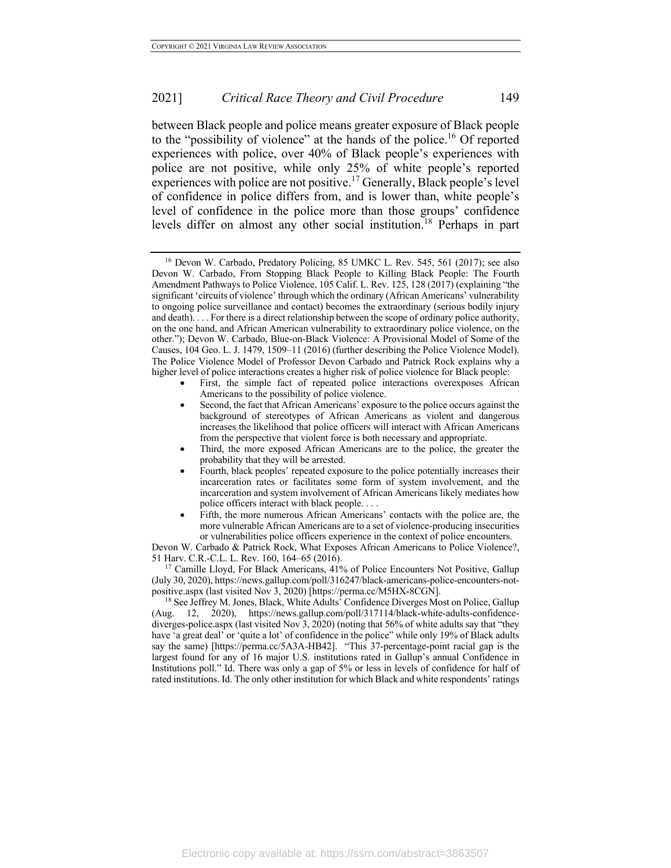between Black people and police means greater exposure of Black people to the "possibility of violence" at the hands of the police.<sup>16</sup> Of reported experiences with police, over 40% of Black people's experiences with police are not positive, while only 25% of white people's reported experiences with police are not positive.<sup>17</sup> Generally, Black people's level of confidence in police differs from, and is lower than, white people's level of confidence in the police more than those groups' confidence levels differ on almost any other social institution.<sup>18</sup> Perhaps in part

- First, the simple fact of repeated police interactions overexposes African Americans to the possibility of police violence.
- Second, the fact that African Americans' exposure to the police occurs against the background of stereotypes of African Americans as violent and dangerous increases the likelihood that police officers will interact with African Americans from the perspective that violent force is both necessary and appropriate.
- Third, the more exposed African Americans are to the police, the greater the probability that they will be arrested.
- Fourth, black peoples' repeated exposure to the police potentially increases their incarceration rates or facilitates some form of system involvement, and the incarceration and system involvement of African Americans likely mediates how police officers interact with black people. . . .
- Fifth, the more numerous African Americans' contacts with the police are, the more vulnerable African Americans are to a set of violence-producing insecurities or vulnerabilities police officers experience in the context of police encounters.

Devon W. Carbado & Patrick Rock, What Exposes African Americans to Police Violence?, 51 Harv. C.R.-C.L. L. Rev. 160, 164–65 (2016).

<sup>17</sup> Camille Lloyd, For Black Americans, 41% of Police Encounters Not Positive, Gallup (July 30, 2020), https://news.gallup.com/poll/316247/black-americans-police-encounters-notpositive.aspx (last visited Nov 3, 2020) [https://perma.cc/M5HX-8CGN].

<sup>18</sup> See Jeffrey M. Jones, Black, White Adults<sup>7</sup> Confidence Diverges Most on Police, Gallup (Aug. 12, 2020), https://news.gallup.com/poll/317114/black-white-adults-confidencediverges-police.aspx (last visited Nov 3, 2020) (noting that 56% of white adults say that "they have 'a great deal' or 'quite a lot' of confidence in the police" while only 19% of Black adults say the same) [https://perma.cc/5A3A-HB42]. "This 37-percentage-point racial gap is the largest found for any of 16 major U.S. institutions rated in Gallup's annual Confidence in Institutions poll." Id. There was only a gap of 5% or less in levels of confidence for half of rated institutions. Id. The only other institution for which Black and white respondents' ratings

Electronic copy available at: https://ssrn.com/abstract=3863507

<sup>16</sup> Devon W. Carbado, Predatory Policing, 85 UMKC L. Rev. 545, 561 (2017); see also Devon W. Carbado, From Stopping Black People to Killing Black People: The Fourth Amendment Pathways to Police Violence, 105 Calif. L. Rev. 125, 128 (2017) (explaining "the significant 'circuits of violence' through which the ordinary (African Americans' vulnerability to ongoing police surveillance and contact) becomes the extraordinary (serious bodily injury and death). . . . For there is a direct relationship between the scope of ordinary police authority, on the one hand, and African American vulnerability to extraordinary police violence, on the other."); Devon W. Carbado, Blue-on-Black Violence: A Provisional Model of Some of the Causes, 104 Geo. L. J. 1479, 1509–11 (2016) (further describing the Police Violence Model). The Police Violence Model of Professor Devon Carbado and Patrick Rock explains why a higher level of police interactions creates a higher risk of police violence for Black people: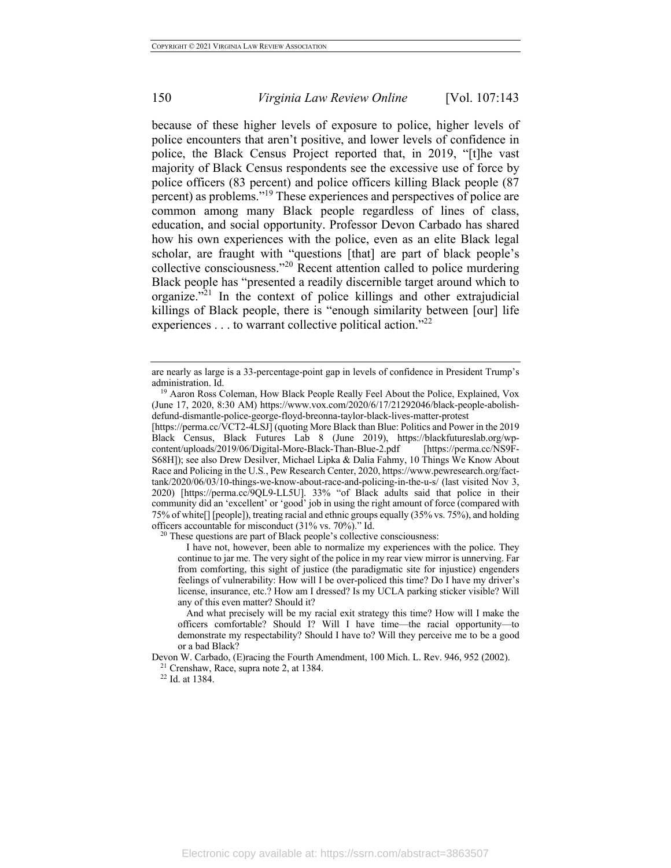because of these higher levels of exposure to police, higher levels of police encounters that aren't positive, and lower levels of confidence in police, the Black Census Project reported that, in 2019, "[t]he vast majority of Black Census respondents see the excessive use of force by police officers (83 percent) and police officers killing Black people (87 percent) as problems."<sup>19</sup> These experiences and perspectives of police are common among many Black people regardless of lines of class, education, and social opportunity. Professor Devon Carbado has shared how his own experiences with the police, even as an elite Black legal scholar, are fraught with "questions [that] are part of black people's collective consciousness."<sup>20</sup> Recent attention called to police murdering Black people has "presented a readily discernible target around which to organize."<sup>21</sup> In the context of police killings and other extrajudicial killings of Black people, there is "enough similarity between [our] life experiences  $\dots$  to warrant collective political action."<sup>22</sup>

[https://perma.cc/VCT2-4LSJ] (quoting More Black than Blue: Politics and Power in the 2019 Black Census, Black Futures Lab 8 (June 2019), https://blackfutureslab.org/wpcontent/uploads/2019/06/Digital-More-Black-Than-Blue-2.pdf [https://perma.cc/NS9F-S68H]); see also Drew Desilver, Michael Lipka & Dalia Fahmy, 10 Things We Know About Race and Policing in the U.S*.*, Pew Research Center, 2020, https://www.pewresearch.org/facttank/2020/06/03/10-things-we-know-about-race-and-policing-in-the-u-s/ (last visited Nov 3, 2020) [https://perma.cc/9QL9-LL5U]. 33% "of Black adults said that police in their community did an 'excellent' or 'good' job in using the right amount of force (compared with 75% of white[] [people]), treating racial and ethnic groups equally (35% vs. 75%), and holding officers accountable for misconduct (31% vs. 70%)." Id.

<sup>20</sup> These questions are part of Black people's collective consciousness:

I have not, however, been able to normalize my experiences with the police. They continue to jar me. The very sight of the police in my rear view mirror is unnerving. Far from comforting, this sight of justice (the paradigmatic site for injustice) engenders feelings of vulnerability: How will I be over-policed this time? Do I have my driver's license, insurance, etc.? How am I dressed? Is my UCLA parking sticker visible? Will any of this even matter? Should it?

And what precisely will be my racial exit strategy this time? How will I make the officers comfortable? Should I? Will I have time—the racial opportunity—to demonstrate my respectability? Should I have to? Will they perceive me to be a good or a bad Black?

Devon W. Carbado, (E)racing the Fourth Amendment, 100 Mich. L. Rev. 946, 952 (2002). <sup>21</sup> Crenshaw, Race, supra note 2, at 1384.

<sup>22</sup> Id. at 1384.

are nearly as large is a 33-percentage-point gap in levels of confidence in President Trump's administration. Id.

<sup>&</sup>lt;sup>19</sup> Aaron Ross Coleman, How Black People Really Feel About the Police, Explained, Vox (June 17, 2020, 8:30 AM) https://www.vox.com/2020/6/17/21292046/black-people-abolishdefund-dismantle-police-george-floyd-breonna-taylor-black-lives-matter-protest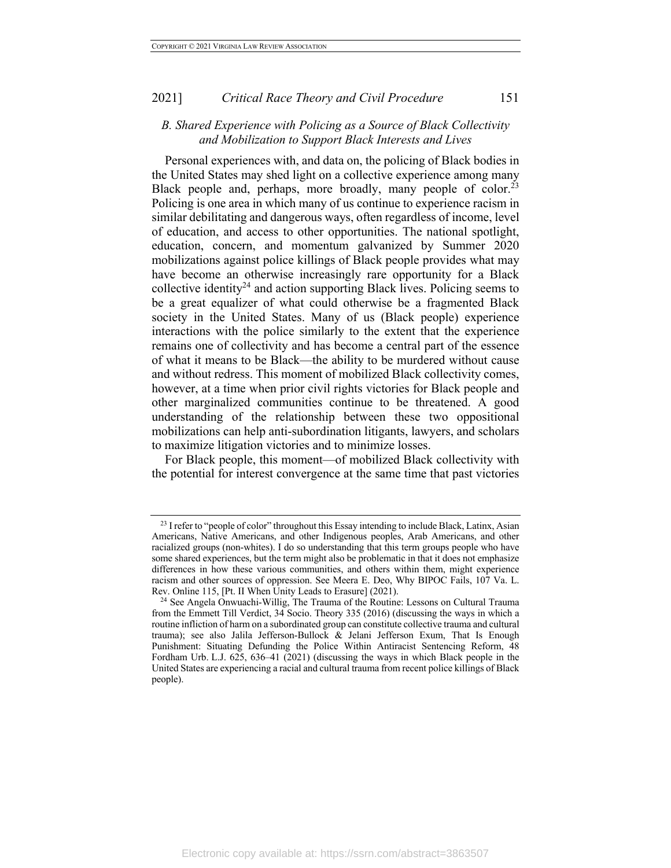#### *B. Shared Experience with Policing as a Source of Black Collectivity and Mobilization to Support Black Interests and Lives*

Personal experiences with, and data on, the policing of Black bodies in the United States may shed light on a collective experience among many Black people and, perhaps, more broadly, many people of color.<sup>23</sup> Policing is one area in which many of us continue to experience racism in similar debilitating and dangerous ways, often regardless of income, level of education, and access to other opportunities. The national spotlight, education, concern, and momentum galvanized by Summer 2020 mobilizations against police killings of Black people provides what may have become an otherwise increasingly rare opportunity for a Black collective identity<sup>24</sup> and action supporting Black lives. Policing seems to be a great equalizer of what could otherwise be a fragmented Black society in the United States. Many of us (Black people) experience interactions with the police similarly to the extent that the experience remains one of collectivity and has become a central part of the essence of what it means to be Black—the ability to be murdered without cause and without redress. This moment of mobilized Black collectivity comes, however, at a time when prior civil rights victories for Black people and other marginalized communities continue to be threatened. A good understanding of the relationship between these two oppositional mobilizations can help anti-subordination litigants, lawyers, and scholars to maximize litigation victories and to minimize losses.

For Black people, this moment—of mobilized Black collectivity with the potential for interest convergence at the same time that past victories

<sup>&</sup>lt;sup>23</sup> I refer to "people of color" throughout this Essay intending to include Black, Latinx, Asian Americans, Native Americans, and other Indigenous peoples, Arab Americans, and other racialized groups (non-whites). I do so understanding that this term groups people who have some shared experiences, but the term might also be problematic in that it does not emphasize differences in how these various communities, and others within them, might experience racism and other sources of oppression. See Meera E. Deo, Why BIPOC Fails, 107 Va. L. Rev. Online 115, [Pt. II When Unity Leads to Erasure] (2021).

<sup>24</sup> See Angela Onwuachi-Willig, The Trauma of the Routine: Lessons on Cultural Trauma from the Emmett Till Verdict, 34 Socio. Theory 335 (2016) (discussing the ways in which a routine infliction of harm on a subordinated group can constitute collective trauma and cultural trauma); see also Jalila Jefferson-Bullock & Jelani Jefferson Exum, That Is Enough Punishment: Situating Defunding the Police Within Antiracist Sentencing Reform, 48 Fordham Urb. L.J. 625, 636–41 (2021) (discussing the ways in which Black people in the United States are experiencing a racial and cultural trauma from recent police killings of Black people).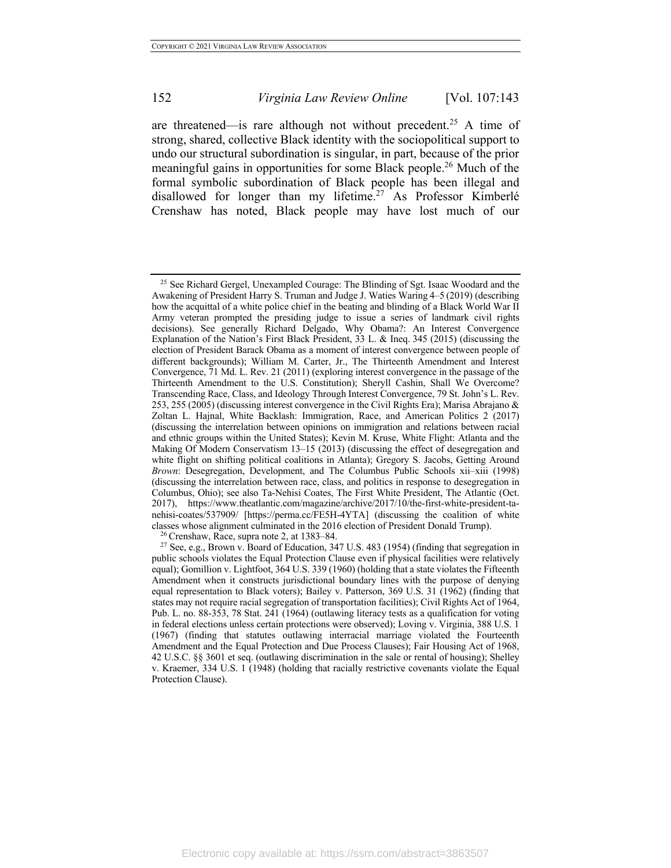are threatened—is rare although not without precedent.<sup>25</sup> A time of strong, shared, collective Black identity with the sociopolitical support to undo our structural subordination is singular, in part, because of the prior meaningful gains in opportunities for some Black people.<sup>26</sup> Much of the formal symbolic subordination of Black people has been illegal and disallowed for longer than my lifetime.<sup>27</sup> As Professor Kimberlé Crenshaw has noted, Black people may have lost much of our

<sup>26</sup> Crenshaw, Race, supra note 2, at 1383–84.

<sup>&</sup>lt;sup>25</sup> See Richard Gergel, Unexampled Courage: The Blinding of Sgt. Isaac Woodard and the Awakening of President Harry S. Truman and Judge J. Waties Waring 4–5 (2019) (describing how the acquittal of a white police chief in the beating and blinding of a Black World War II Army veteran prompted the presiding judge to issue a series of landmark civil rights decisions). See generally Richard Delgado, Why Obama?: An Interest Convergence Explanation of the Nation's First Black President, 33 L. & Ineq. 345 (2015) (discussing the election of President Barack Obama as a moment of interest convergence between people of different backgrounds); William M. Carter, Jr., The Thirteenth Amendment and Interest Convergence, 71 Md. L. Rev. 21 (2011) (exploring interest convergence in the passage of the Thirteenth Amendment to the U.S. Constitution); Sheryll Cashin, Shall We Overcome? Transcending Race, Class, and Ideology Through Interest Convergence, 79 St. John's L. Rev. 253, 255 (2005) (discussing interest convergence in the Civil Rights Era); Marisa Abrajano & Zoltan L. Hajnal, White Backlash: Immigration, Race, and American Politics 2 (2017) (discussing the interrelation between opinions on immigration and relations between racial and ethnic groups within the United States); Kevin M. Kruse, White Flight: Atlanta and the Making Of Modern Conservatism 13–15 (2013) (discussing the effect of desegregation and white flight on shifting political coalitions in Atlanta); Gregory S. Jacobs, Getting Around *Brown*: Desegregation, Development, and The Columbus Public Schools xii–xiii (1998) (discussing the interrelation between race, class, and politics in response to desegregation in Columbus, Ohio); see also Ta-Nehisi Coates, The First White President, The Atlantic (Oct. 2017), https://www.theatlantic.com/magazine/archive/2017/10/the-first-white-president-tanehisi-coates/537909/ [https://perma.cc/FE5H-4YTA] (discussing the coalition of white classes whose alignment culminated in the 2016 election of President Donald Trump).

<sup>27</sup> See, e.g., Brown v. Board of Education, 347 U.S. 483 (1954) (finding that segregation in public schools violates the Equal Protection Clause even if physical facilities were relatively equal); Gomillion v. Lightfoot, 364 U.S. 339 (1960) (holding that a state violates the Fifteenth Amendment when it constructs jurisdictional boundary lines with the purpose of denying equal representation to Black voters); Bailey v. Patterson, 369 U.S. 31 (1962) (finding that states may not require racial segregation of transportation facilities); Civil Rights Act of 1964, Pub. L. no. 88-353, 78 Stat. 241 (1964) (outlawing literacy tests as a qualification for voting in federal elections unless certain protections were observed); Loving v. Virginia, 388 U.S. 1 (1967) (finding that statutes outlawing interracial marriage violated the Fourteenth Amendment and the Equal Protection and Due Process Clauses); Fair Housing Act of 1968, 42 U.S.C. §§ 3601 et seq. (outlawing discrimination in the sale or rental of housing); Shelley v. Kraemer, 334 U.S. 1 (1948) (holding that racially restrictive covenants violate the Equal Protection Clause).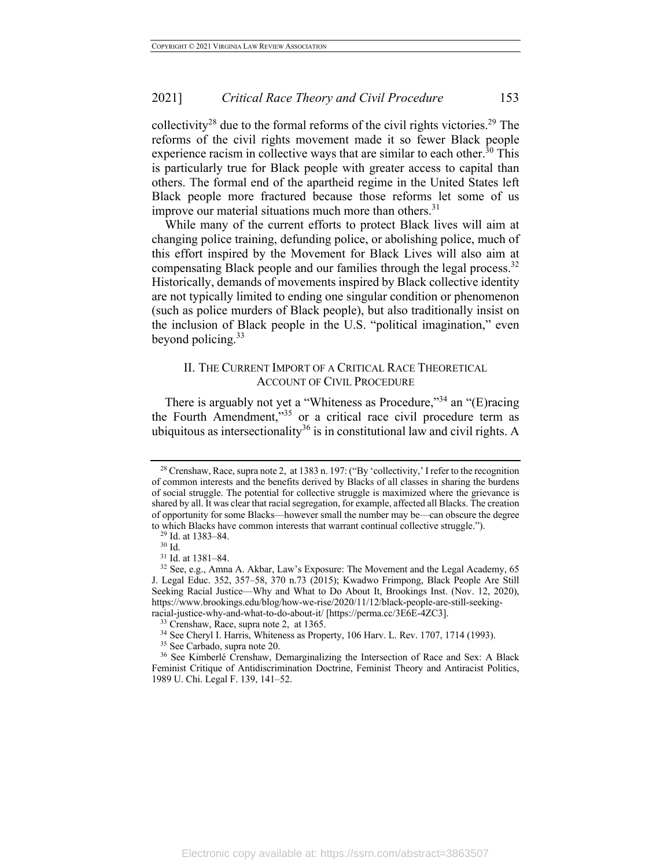collectivity<sup>28</sup> due to the formal reforms of the civil rights victories.<sup>29</sup> The reforms of the civil rights movement made it so fewer Black people experience racism in collective ways that are similar to each other.<sup>30</sup> This is particularly true for Black people with greater access to capital than others. The formal end of the apartheid regime in the United States left Black people more fractured because those reforms let some of us improve our material situations much more than others. $31$ 

While many of the current efforts to protect Black lives will aim at changing police training, defunding police, or abolishing police, much of this effort inspired by the Movement for Black Lives will also aim at compensating Black people and our families through the legal process.<sup>32</sup> Historically, demands of movements inspired by Black collective identity are not typically limited to ending one singular condition or phenomenon (such as police murders of Black people), but also traditionally insist on the inclusion of Black people in the U.S. "political imagination," even beyond policing. 33

#### II. THE CURRENT IMPORT OF A CRITICAL RACE THEORETICAL ACCOUNT OF CIVIL PROCEDURE

There is arguably not yet a "Whiteness as Procedure,"<sup>34</sup> an "(E)racing the Fourth Amendment,"<sup>35</sup> or a critical race civil procedure term as ubiquitous as intersectionality<sup>36</sup> is in constitutional law and civil rights. A

<sup>&</sup>lt;sup>28</sup> Crenshaw, Race, supra note 2, at 1383 n. 197: ("By 'collectivity,' I refer to the recognition of common interests and the benefits derived by Blacks of all classes in sharing the burdens of social struggle. The potential for collective struggle is maximized where the grievance is shared by all. It was clear that racial segregation, for example, affected all Blacks. The creation of opportunity for some Blacks—however small the number may be—can obscure the degree to which Blacks have common interests that warrant continual collective struggle.").

<sup>29</sup> Id. at 1383–84.

 $^{30}$  Id.  $\,$ 

<sup>31</sup> Id. at 1381–84.

<sup>32</sup> See, e.g., Amna A. Akbar, Law's Exposure: The Movement and the Legal Academy, 65 J. Legal Educ. 352, 357–58, 370 n.73 (2015); Kwadwo Frimpong, Black People Are Still Seeking Racial Justice—Why and What to Do About It, Brookings Inst. (Nov. 12, 2020), https://www.brookings.edu/blog/how-we-rise/2020/11/12/black-people-are-still-seekingracial-justice-why-and-what-to-do-about-it/ [https://perma.cc/3E6E-4ZC3].

<sup>33</sup> Crenshaw, Race, supra note 2, at 1365.

<sup>34</sup> See Cheryl I. Harris, Whiteness as Property, 106 Harv. L. Rev. 1707, 1714 (1993).

<sup>35</sup> See Carbado, supra note 20.

<sup>36</sup> See Kimberlé Crenshaw, Demarginalizing the Intersection of Race and Sex: A Black Feminist Critique of Antidiscrimination Doctrine, Feminist Theory and Antiracist Politics, 1989 U. Chi. Legal F. 139, 141–52.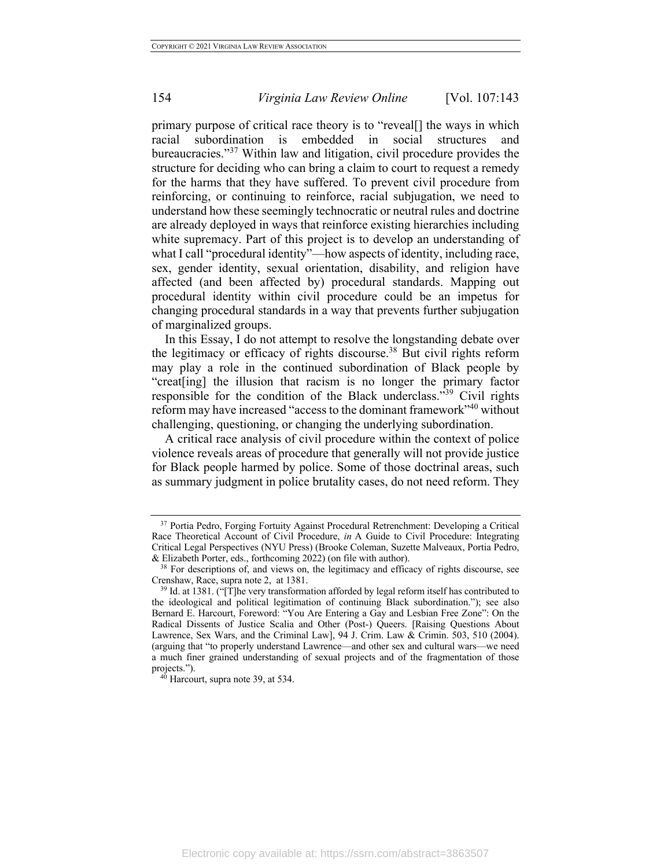primary purpose of critical race theory is to "reveal[] the ways in which racial subordination is embedded in social structures and bureaucracies."<sup>37</sup> Within law and litigation, civil procedure provides the structure for deciding who can bring a claim to court to request a remedy for the harms that they have suffered. To prevent civil procedure from reinforcing, or continuing to reinforce, racial subjugation, we need to understand how these seemingly technocratic or neutral rules and doctrine are already deployed in ways that reinforce existing hierarchies including white supremacy. Part of this project is to develop an understanding of what I call "procedural identity"—how aspects of identity, including race, sex, gender identity, sexual orientation, disability, and religion have affected (and been affected by) procedural standards. Mapping out procedural identity within civil procedure could be an impetus for changing procedural standards in a way that prevents further subjugation of marginalized groups.

In this Essay, I do not attempt to resolve the longstanding debate over the legitimacy or efficacy of rights discourse.<sup>38</sup> But civil rights reform may play a role in the continued subordination of Black people by "creat[ing] the illusion that racism is no longer the primary factor responsible for the condition of the Black underclass."<sup>39</sup> Civil rights reform may have increased "access to the dominant framework"<sup>40</sup> without challenging, questioning, or changing the underlying subordination.

A critical race analysis of civil procedure within the context of police violence reveals areas of procedure that generally will not provide justice for Black people harmed by police. Some of those doctrinal areas, such as summary judgment in police brutality cases, do not need reform. They

<sup>&</sup>lt;sup>37</sup> Portia Pedro, Forging Fortuity Against Procedural Retrenchment: Developing a Critical Race Theoretical Account of Civil Procedure, *in* A Guide to Civil Procedure: Integrating Critical Legal Perspectives (NYU Press) (Brooke Coleman, Suzette Malveaux, Portia Pedro, & Elizabeth Porter, eds., forthcoming 2022) (on file with author).  $38$  For descriptions of, and views on, the legitimacy and efficacy of rights discourse, see

Crenshaw, Race, supra note 2, at 1381.

 $39$  Id. at 1381. ("[T]he very transformation afforded by legal reform itself has contributed to the ideological and political legitimation of continuing Black subordination."); see also Bernard E. Harcourt, Foreword: "You Are Entering a Gay and Lesbian Free Zone": On the Radical Dissents of Justice Scalia and Other (Post-) Queers. [Raising Questions About Lawrence, Sex Wars, and the Criminal Law], 94 J. Crim. Law & Crimin. 503, 510 (2004). (arguing that "to properly understand Lawrence—and other sex and cultural wars—we need a much finer grained understanding of sexual projects and of the fragmentation of those projects.").<br><sup>40</sup> Harcourt, supra note 39, at 534.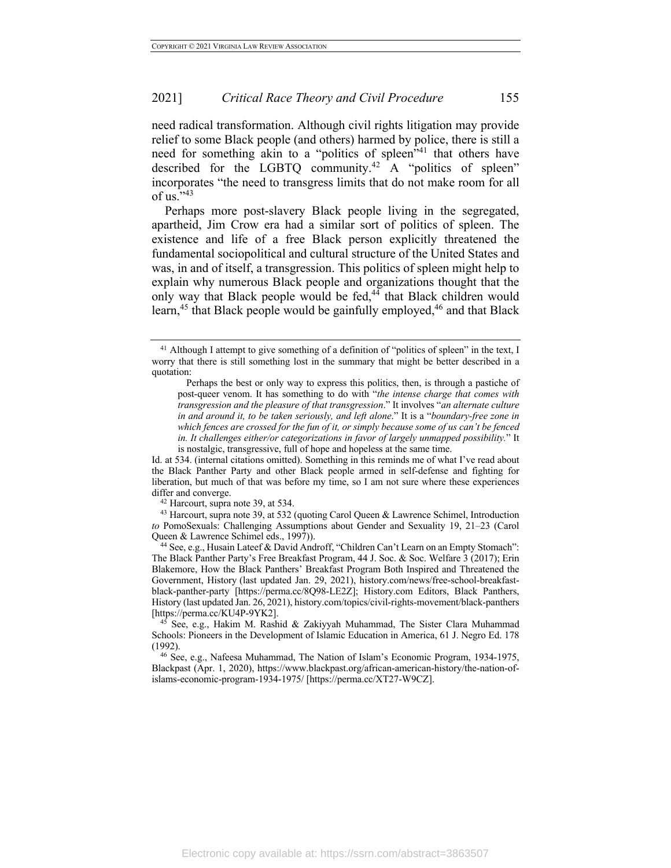need radical transformation. Although civil rights litigation may provide relief to some Black people (and others) harmed by police, there is still a need for something akin to a "politics of spleen"<sup>41</sup> that others have described for the LGBTQ community.<sup>42</sup> A "politics of spleen" incorporates "the need to transgress limits that do not make room for all of us." $43$ 

Perhaps more post-slavery Black people living in the segregated, apartheid, Jim Crow era had a similar sort of politics of spleen. The existence and life of a free Black person explicitly threatened the fundamental sociopolitical and cultural structure of the United States and was, in and of itself, a transgression. This politics of spleen might help to explain why numerous Black people and organizations thought that the only way that Black people would be fed,<sup>44</sup> that Black children would learn,<sup>45</sup> that Black people would be gainfully employed,<sup>46</sup> and that Black

<sup>&</sup>lt;sup>41</sup> Although I attempt to give something of a definition of "politics of spleen" in the text, I worry that there is still something lost in the summary that might be better described in a quotation:

Perhaps the best or only way to express this politics, then, is through a pastiche of post-queer venom. It has something to do with "*the intense charge that comes with transgression and the pleasure of that transgression*." It involves "*an alternate culture in and around it, to be taken seriously, and left alone*." It is a "*boundary-free zone in which fences are crossed for the fun of it, or simply because some of us can't be fenced in. It challenges either/or categorizations in favor of largely unmapped possibility.*" It is nostalgic, transgressive, full of hope and hopeless at the same time.

Id. at 534. (internal citations omitted). Something in this reminds me of what I've read about the Black Panther Party and other Black people armed in self-defense and fighting for liberation, but much of that was before my time, so I am not sure where these experiences differ and converge.

Harcourt, supra note 39, at 534.

<sup>43</sup> Harcourt, supra note 39, at 532 (quoting Carol Queen & Lawrence Schimel, Introduction *to* PomoSexuals: Challenging Assumptions about Gender and Sexuality 19, 21–23 (Carol Queen & Lawrence Schimel eds., 1997)).

<sup>44</sup> See, e.g., Husain Lateef & David Androff, "Children Can't Learn on an Empty Stomach": The Black Panther Party's Free Breakfast Program, 44 J. Soc. & Soc. Welfare 3 (2017); Erin Blakemore, How the Black Panthers' Breakfast Program Both Inspired and Threatened the Government, History (last updated Jan. 29, 2021), history.com/news/free-school-breakfastblack-panther-party [https://perma.cc/8Q98-LE2Z]; History.com Editors, Black Panthers, History (last updated Jan. 26, 2021), history.com/topics/civil-rights-movement/black-panthers [https://perma.cc/KU4P-9YK2].

See, e.g., Hakim M. Rashid & Zakiyyah Muhammad, The Sister Clara Muhammad Schools: Pioneers in the Development of Islamic Education in America, 61 J. Negro Ed. 178 (1992).

<sup>46</sup> See, e.g., Nafeesa Muhammad, The Nation of Islam's Economic Program, 1934-1975, Blackpast (Apr. 1, 2020), https://www.blackpast.org/african-american-history/the-nation-ofislams-economic-program-1934-1975/ [https://perma.cc/XT27-W9CZ].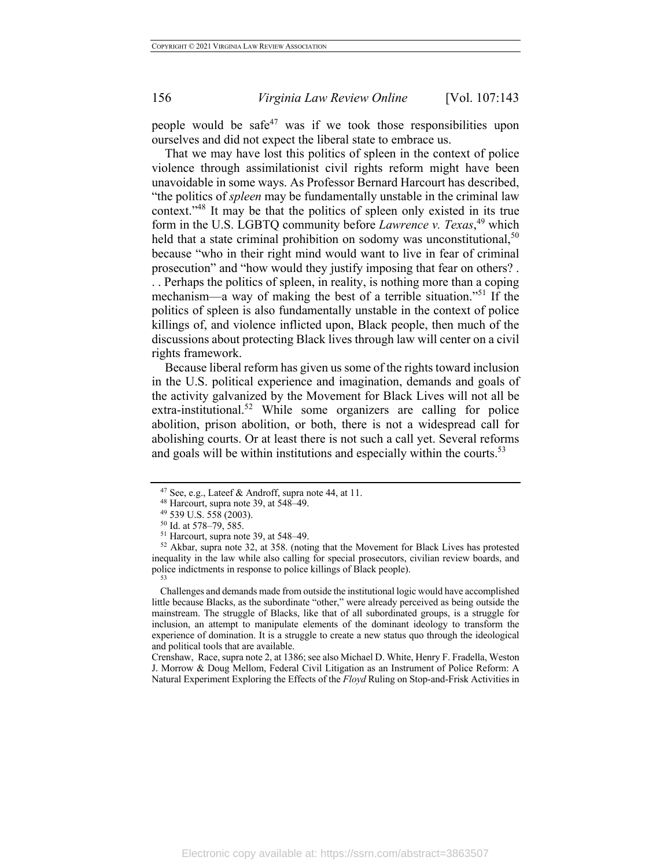people would be safe<sup>47</sup> was if we took those responsibilities upon ourselves and did not expect the liberal state to embrace us.

That we may have lost this politics of spleen in the context of police violence through assimilationist civil rights reform might have been unavoidable in some ways. As Professor Bernard Harcourt has described, "the politics of *spleen* may be fundamentally unstable in the criminal law context."48 It may be that the politics of spleen only existed in its true form in the U.S. LGBTQ community before *Lawrence v. Texas*, <sup>49</sup> which held that a state criminal prohibition on sodomy was unconstitutional,  $50$ because "who in their right mind would want to live in fear of criminal prosecution" and "how would they justify imposing that fear on others? . . . Perhaps the politics of spleen, in reality, is nothing more than a coping mechanism—a way of making the best of a terrible situation."<sup>51</sup> If the politics of spleen is also fundamentally unstable in the context of police killings of, and violence inflicted upon, Black people, then much of the discussions about protecting Black lives through law will center on a civil rights framework.

Because liberal reform has given us some of the rights toward inclusion in the U.S. political experience and imagination, demands and goals of the activity galvanized by the Movement for Black Lives will not all be extra-institutional.<sup>52</sup> While some organizers are calling for police abolition, prison abolition, or both, there is not a widespread call for abolishing courts. Or at least there is not such a call yet. Several reforms and goals will be within institutions and especially within the courts.<sup>53</sup>

Challenges and demands made from outside the institutional logic would have accomplished little because Blacks, as the subordinate "other," were already perceived as being outside the mainstream. The struggle of Blacks, like that of all subordinated groups, is a struggle for inclusion, an attempt to manipulate elements of the dominant ideology to transform the experience of domination. It is a struggle to create a new status quo through the ideological and political tools that are available.

Crenshaw, Race, supra note 2, at 1386; see also Michael D. White, Henry F. Fradella, Weston J. Morrow & Doug Mellom, Federal Civil Litigation as an Instrument of Police Reform: A Natural Experiment Exploring the Effects of the *Floyd* Ruling on Stop-and-Frisk Activities in

<sup>&</sup>lt;sup>47</sup> See, e.g., Lateef & Androff, supra note 44, at 11.<br><sup>48</sup> Harcourt, supra note 39, at 548–49.

<sup>49</sup> 539 U.S. 558 (2003).

<sup>50</sup> Id. at 578–79, 585.

<sup>51</sup> Harcourt, supra note 39, at 548–49.

<sup>52</sup> Akbar, supra note 32, at 358. (noting that the Movement for Black Lives has protested inequality in the law while also calling for special prosecutors, civilian review boards, and police indictments in response to police killings of Black people). 53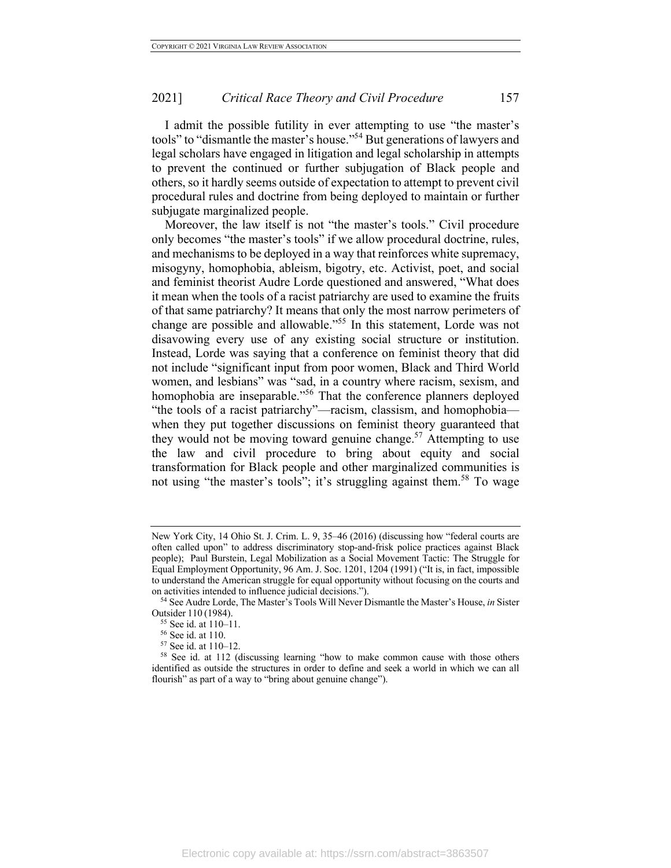I admit the possible futility in ever attempting to use "the master's tools" to "dismantle the master's house."<sup>54</sup> But generations of lawyers and legal scholars have engaged in litigation and legal scholarship in attempts to prevent the continued or further subjugation of Black people and others, so it hardly seems outside of expectation to attempt to prevent civil procedural rules and doctrine from being deployed to maintain or further subjugate marginalized people.

Moreover, the law itself is not "the master's tools." Civil procedure only becomes "the master's tools" if we allow procedural doctrine, rules, and mechanisms to be deployed in a way that reinforces white supremacy, misogyny, homophobia, ableism, bigotry, etc. Activist, poet, and social and feminist theorist Audre Lorde questioned and answered, "What does it mean when the tools of a racist patriarchy are used to examine the fruits of that same patriarchy? It means that only the most narrow perimeters of change are possible and allowable."<sup>55</sup> In this statement, Lorde was not disavowing every use of any existing social structure or institution. Instead, Lorde was saying that a conference on feminist theory that did not include "significant input from poor women, Black and Third World women, and lesbians" was "sad, in a country where racism, sexism, and homophobia are inseparable."<sup>56</sup> That the conference planners deployed "the tools of a racist patriarchy"—racism, classism, and homophobia when they put together discussions on feminist theory guaranteed that they would not be moving toward genuine change.<sup>57</sup> Attempting to use the law and civil procedure to bring about equity and social transformation for Black people and other marginalized communities is not using "the master's tools"; it's struggling against them.<sup>58</sup> To wage

New York City, 14 Ohio St. J. Crim. L. 9, 35–46 (2016) (discussing how "federal courts are often called upon" to address discriminatory stop-and-frisk police practices against Black people); Paul Burstein, Legal Mobilization as a Social Movement Tactic: The Struggle for Equal Employment Opportunity, 96 Am. J. Soc. 1201, 1204 (1991) ("It is, in fact, impossible to understand the American struggle for equal opportunity without focusing on the courts and on activities intended to influence judicial decisions."). 54 See Audre Lorde, The Master's Tools Will Never Dismantle the Master's House, *in* Sister

Outsider 110 (1984).

<sup>55</sup> See id. at 110–11.

<sup>56</sup> See id. at 110.

<sup>57</sup> See id. at 110–12.

<sup>58</sup> See id. at 112 (discussing learning "how to make common cause with those others identified as outside the structures in order to define and seek a world in which we can all flourish" as part of a way to "bring about genuine change").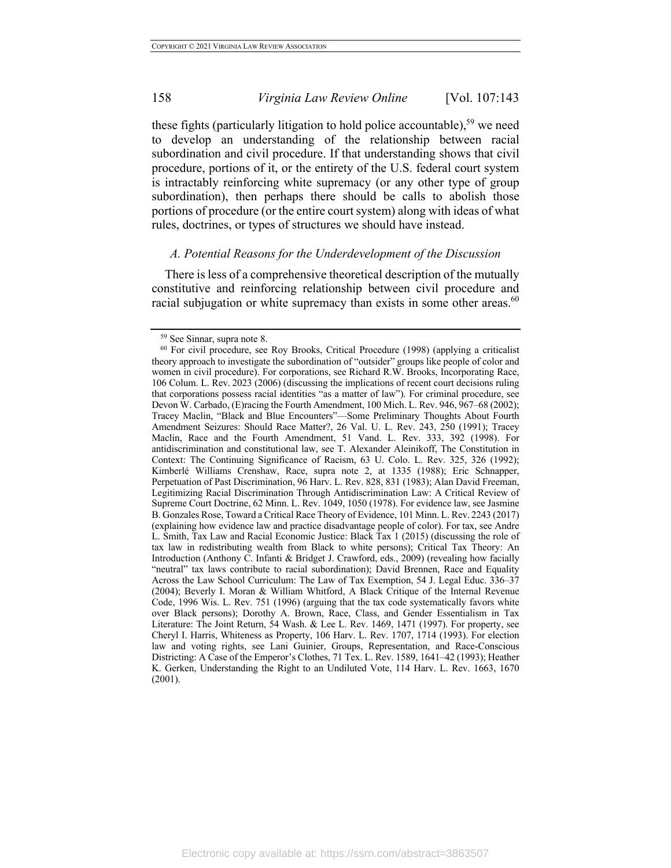these fights (particularly litigation to hold police accountable),<sup>59</sup> we need to develop an understanding of the relationship between racial subordination and civil procedure. If that understanding shows that civil procedure, portions of it, or the entirety of the U.S. federal court system is intractably reinforcing white supremacy (or any other type of group subordination), then perhaps there should be calls to abolish those portions of procedure (or the entire court system) along with ideas of what rules, doctrines, or types of structures we should have instead.

# *A. Potential Reasons for the Underdevelopment of the Discussion*

There is less of a comprehensive theoretical description of the mutually constitutive and reinforcing relationship between civil procedure and racial subjugation or white supremacy than exists in some other areas.  $60$ 

<sup>59</sup> See Sinnar, supra note 8.

<sup>60</sup> For civil procedure, see Roy Brooks, Critical Procedure (1998) (applying a criticalist theory approach to investigate the subordination of "outsider" groups like people of color and women in civil procedure). For corporations, see Richard R.W. Brooks, Incorporating Race, 106 Colum. L. Rev. 2023 (2006) (discussing the implications of recent court decisions ruling that corporations possess racial identities "as a matter of law"). For criminal procedure, see Devon W. Carbado, (E)racing the Fourth Amendment, 100 Mich. L. Rev. 946, 967–68 (2002); Tracey Maclin, "Black and Blue Encounters"—Some Preliminary Thoughts About Fourth Amendment Seizures: Should Race Matter?, 26 Val. U. L. Rev. 243, 250 (1991); Tracey Maclin, Race and the Fourth Amendment, 51 Vand. L. Rev. 333, 392 (1998). For antidiscrimination and constitutional law, see T. Alexander Aleinikoff, The Constitution in Context: The Continuing Significance of Racism, 63 U. Colo. L. Rev. 325, 326 (1992); Kimberlé Williams Crenshaw, Race, supra note 2, at 1335 (1988); Eric Schnapper, Perpetuation of Past Discrimination, 96 Harv. L. Rev. 828, 831 (1983); Alan David Freeman, Legitimizing Racial Discrimination Through Antidiscrimination Law: A Critical Review of Supreme Court Doctrine, 62 Minn. L. Rev. 1049, 1050 (1978). For evidence law, see Jasmine B. Gonzales Rose, Toward a Critical Race Theory of Evidence, 101 Minn. L. Rev. 2243 (2017) (explaining how evidence law and practice disadvantage people of color). For tax, see Andre L. Smith, Tax Law and Racial Economic Justice: Black Tax 1 (2015) (discussing the role of tax law in redistributing wealth from Black to white persons); Critical Tax Theory: An Introduction (Anthony C. Infanti & Bridget J. Crawford, eds., 2009) (revealing how facially "neutral" tax laws contribute to racial subordination); David Brennen, Race and Equality Across the Law School Curriculum: The Law of Tax Exemption, 54 J. Legal Educ. 336–37 (2004); Beverly I. Moran & William Whitford, A Black Critique of the Internal Revenue Code, 1996 Wis. L. Rev. 751 (1996) (arguing that the tax code systematically favors white over Black persons); Dorothy A. Brown, Race, Class, and Gender Essentialism in Tax Literature: The Joint Return, 54 Wash. & Lee L. Rev. 1469, 1471 (1997). For property, see Cheryl I. Harris, Whiteness as Property, 106 Harv. L. Rev. 1707, 1714 (1993). For election law and voting rights, see Lani Guinier, Groups, Representation, and Race-Conscious Districting: A Case of the Emperor's Clothes, 71 Tex. L. Rev. 1589, 1641–42 (1993); Heather K. Gerken, Understanding the Right to an Undiluted Vote, 114 Harv. L. Rev. 1663, 1670 (2001).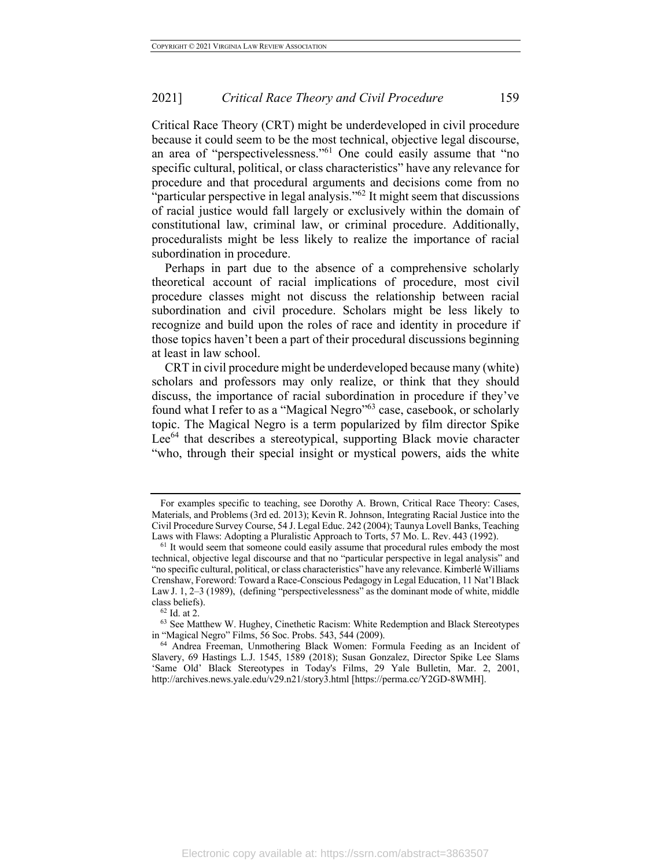Critical Race Theory (CRT) might be underdeveloped in civil procedure because it could seem to be the most technical, objective legal discourse, an area of "perspectivelessness."<sup>61</sup> One could easily assume that "no specific cultural, political, or class characteristics" have any relevance for procedure and that procedural arguments and decisions come from no "particular perspective in legal analysis."<sup>62</sup> It might seem that discussions of racial justice would fall largely or exclusively within the domain of constitutional law, criminal law, or criminal procedure. Additionally, proceduralists might be less likely to realize the importance of racial subordination in procedure.

Perhaps in part due to the absence of a comprehensive scholarly theoretical account of racial implications of procedure, most civil procedure classes might not discuss the relationship between racial subordination and civil procedure. Scholars might be less likely to recognize and build upon the roles of race and identity in procedure if those topics haven't been a part of their procedural discussions beginning at least in law school.

CRT in civil procedure might be underdeveloped because many (white) scholars and professors may only realize, or think that they should discuss, the importance of racial subordination in procedure if they've found what I refer to as a "Magical Negro"<sup>63</sup> case, casebook, or scholarly topic. The Magical Negro is a term popularized by film director Spike Lee<sup>64</sup> that describes a stereotypical, supporting Black movie character "who, through their special insight or mystical powers, aids the white

For examples specific to teaching, see Dorothy A. Brown, Critical Race Theory: Cases, Materials, and Problems (3rd ed. 2013); Kevin R. Johnson, Integrating Racial Justice into the Civil Procedure Survey Course, 54 J. Legal Educ. 242 (2004); Taunya Lovell Banks, Teaching Laws with Flaws: Adopting a Pluralistic Approach to Torts, 57 Mo. L. Rev. 443 (1992).

<sup>&</sup>lt;sup>61</sup> It would seem that someone could easily assume that procedural rules embody the most technical, objective legal discourse and that no "particular perspective in legal analysis" and "no specific cultural, political, or class characteristics" have any relevance. Kimberlé Williams Crenshaw, Foreword: Toward a Race-Conscious Pedagogy in Legal Education, 11 Nat'l Black Law J. 1, 2–3 (1989), (defining "perspectivelessness" as the dominant mode of white, middle class beliefs).

 $^{62}$  Id. at 2.

<sup>63</sup> See Matthew W. Hughey, Cinethetic Racism: White Redemption and Black Stereotypes in "Magical Negro" Films, 56 Soc. Probs. 543, 544 (2009).

<sup>64</sup> Andrea Freeman, Unmothering Black Women: Formula Feeding as an Incident of Slavery, 69 Hastings L.J. 1545, 1589 (2018); Susan Gonzalez, Director Spike Lee Slams 'Same Old' Black Stereotypes in Today's Films, 29 Yale Bulletin, Mar. 2, 2001, http://archives.news.yale.edu/v29.n21/story3.html [https://perma.cc/Y2GD-8WMH].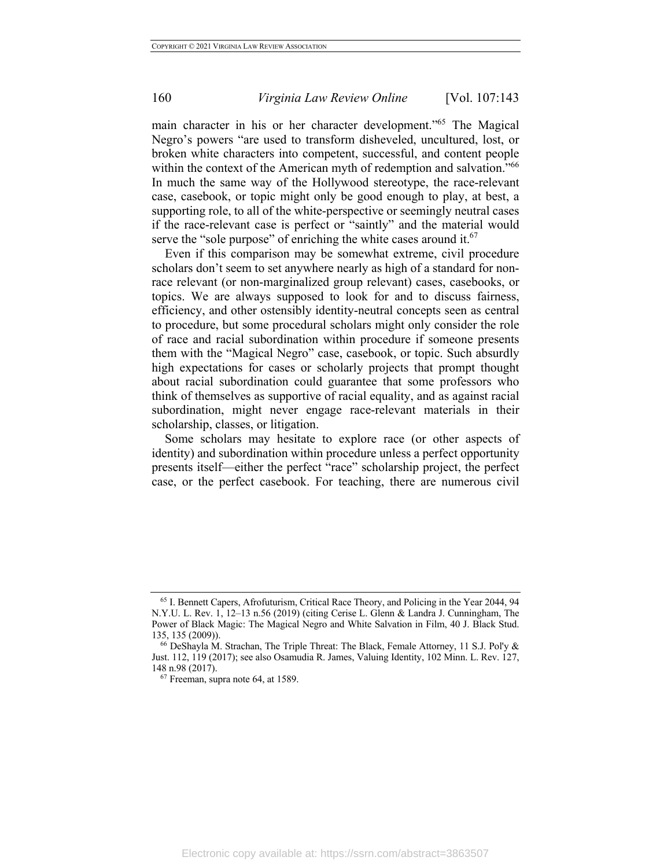main character in his or her character development."65 The Magical Negro's powers "are used to transform disheveled, uncultured, lost, or broken white characters into competent, successful, and content people within the context of the American myth of redemption and salvation."<sup>66</sup> In much the same way of the Hollywood stereotype, the race-relevant case, casebook, or topic might only be good enough to play, at best, a supporting role, to all of the white-perspective or seemingly neutral cases if the race-relevant case is perfect or "saintly" and the material would serve the "sole purpose" of enriching the white cases around it.  $67$ 

Even if this comparison may be somewhat extreme, civil procedure scholars don't seem to set anywhere nearly as high of a standard for nonrace relevant (or non-marginalized group relevant) cases, casebooks, or topics. We are always supposed to look for and to discuss fairness, efficiency, and other ostensibly identity-neutral concepts seen as central to procedure, but some procedural scholars might only consider the role of race and racial subordination within procedure if someone presents them with the "Magical Negro" case, casebook, or topic. Such absurdly high expectations for cases or scholarly projects that prompt thought about racial subordination could guarantee that some professors who think of themselves as supportive of racial equality, and as against racial subordination, might never engage race-relevant materials in their scholarship, classes, or litigation.

Some scholars may hesitate to explore race (or other aspects of identity) and subordination within procedure unless a perfect opportunity presents itself—either the perfect "race" scholarship project, the perfect case, or the perfect casebook. For teaching, there are numerous civil

<sup>65</sup> I. Bennett Capers, Afrofuturism, Critical Race Theory, and Policing in the Year 2044, 94 N.Y.U. L. Rev. 1, 12–13 n.56 (2019) (citing Cerise L. Glenn & Landra J. Cunningham, The Power of Black Magic: The Magical Negro and White Salvation in Film, 40 J. Black Stud. 135, 135 (2009)).

<sup>66</sup> DeShayla M. Strachan, The Triple Threat: The Black, Female Attorney, 11 S.J. Pol'y & Just. 112, 119 (2017); see also Osamudia R. James, Valuing Identity, 102 Minn. L. Rev. 127, 148 n.98 (2017).

<sup>67</sup> Freeman, supra note 64, at 1589.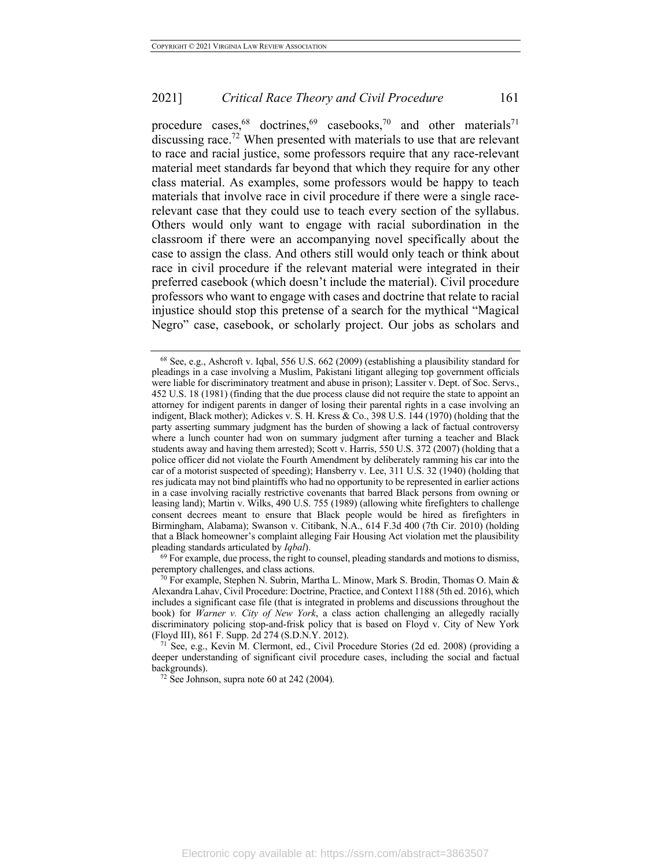procedure cases, <sup>68</sup> doctrines, <sup>69</sup> casebooks,<sup>70</sup> and other materials<sup>71</sup> discussing race.<sup>72</sup> When presented with materials to use that are relevant to race and racial justice, some professors require that any race-relevant material meet standards far beyond that which they require for any other class material. As examples, some professors would be happy to teach materials that involve race in civil procedure if there were a single racerelevant case that they could use to teach every section of the syllabus. Others would only want to engage with racial subordination in the classroom if there were an accompanying novel specifically about the case to assign the class. And others still would only teach or think about race in civil procedure if the relevant material were integrated in their preferred casebook (which doesn't include the material). Civil procedure professors who want to engage with cases and doctrine that relate to racial injustice should stop this pretense of a search for the mythical "Magical Negro" case, casebook, or scholarly project. Our jobs as scholars and

peremptory challenges, and class actions.

<sup>71</sup> See, e.g., Kevin M. Clermont, ed., Civil Procedure Stories (2d ed. 2008) (providing a deeper understanding of significant civil procedure cases, including the social and factual backgrounds).

<sup>72</sup> See Johnson, supra note 60 at 242 (2004)*.*

<sup>68</sup> See, e.g., Ashcroft v. Iqbal, 556 U.S. 662 (2009) (establishing a plausibility standard for pleadings in a case involving a Muslim, Pakistani litigant alleging top government officials were liable for discriminatory treatment and abuse in prison); Lassiter v. Dept. of Soc. Servs., 452 U.S. 18 (1981) (finding that the due process clause did not require the state to appoint an attorney for indigent parents in danger of losing their parental rights in a case involving an indigent, Black mother); Adickes v. S. H. Kress & Co., 398 U.S. 144 (1970) (holding that the party asserting summary judgment has the burden of showing a lack of factual controversy where a lunch counter had won on summary judgment after turning a teacher and Black students away and having them arrested); Scott v. Harris, 550 U.S. 372 (2007) (holding that a police officer did not violate the Fourth Amendment by deliberately ramming his car into the car of a motorist suspected of speeding); Hansberry v. Lee, 311 U.S. 32 (1940) (holding that res judicata may not bind plaintiffs who had no opportunity to be represented in earlier actions in a case involving racially restrictive covenants that barred Black persons from owning or leasing land); Martin v. Wilks, 490 U.S. 755 (1989) (allowing white firefighters to challenge consent decrees meant to ensure that Black people would be hired as firefighters in Birmingham, Alabama); Swanson v. Citibank, N.A., 614 F.3d 400 (7th Cir. 2010) (holding that a Black homeowner's complaint alleging Fair Housing Act violation met the plausibility pleading standards articulated by *Iqbal*). <sup>69</sup> For example, due process, the right to counsel, pleading standards and motions to dismiss,

<sup>&</sup>lt;sup>70</sup> For example, Stephen N. Subrin, Martha L. Minow, Mark S. Brodin, Thomas O. Main & Alexandra Lahav, Civil Procedure: Doctrine, Practice, and Context 1188 (5th ed. 2016), which includes a significant case file (that is integrated in problems and discussions throughout the book) for *Warner v. City of New York*, a class action challenging an allegedly racially discriminatory policing stop-and-frisk policy that is based on Floyd v. City of New York (Floyd III), 861 F. Supp. 2d 274 (S.D.N.Y. 2012).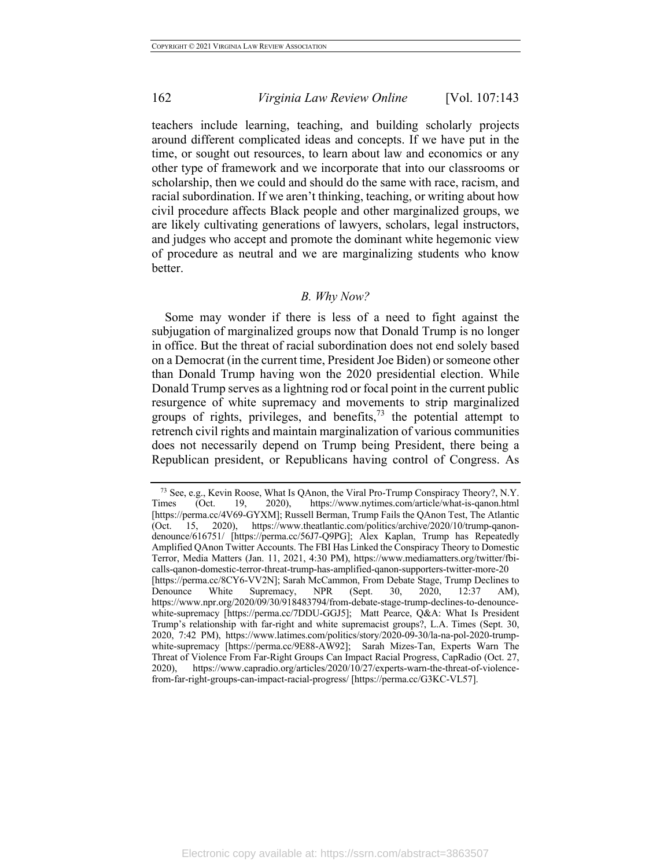teachers include learning, teaching, and building scholarly projects around different complicated ideas and concepts. If we have put in the time, or sought out resources, to learn about law and economics or any other type of framework and we incorporate that into our classrooms or scholarship, then we could and should do the same with race, racism, and racial subordination. If we aren't thinking, teaching, or writing about how civil procedure affects Black people and other marginalized groups, we are likely cultivating generations of lawyers, scholars, legal instructors, and judges who accept and promote the dominant white hegemonic view of procedure as neutral and we are marginalizing students who know better.

#### *B. Why Now?*

Some may wonder if there is less of a need to fight against the subjugation of marginalized groups now that Donald Trump is no longer in office. But the threat of racial subordination does not end solely based on a Democrat (in the current time, President Joe Biden) or someone other than Donald Trump having won the 2020 presidential election. While Donald Trump serves as a lightning rod or focal point in the current public resurgence of white supremacy and movements to strip marginalized groups of rights, privileges, and benefits,  $73$  the potential attempt to retrench civil rights and maintain marginalization of various communities does not necessarily depend on Trump being President, there being a Republican president, or Republicans having control of Congress. As

<sup>73</sup> See, e.g., Kevin Roose, What Is QAnon, the Viral Pro-Trump Conspiracy Theory?, N.Y. Times (Oct. 19, 2020), https://www.nytimes.com/article/what-is-qanon.html [https://perma.cc/4V69-GYXM]; Russell Berman, Trump Fails the QAnon Test, The Atlantic (Oct. 15, 2020), https://www.theatlantic.com/politics/archive/2020/10/trump-qanondenounce/616751/ [https://perma.cc/56J7-Q9PG]; Alex Kaplan, Trump has Repeatedly Amplified QAnon Twitter Accounts. The FBI Has Linked the Conspiracy Theory to Domestic Terror, Media Matters (Jan. 11, 2021, 4:30 PM), https://www.mediamatters.org/twitter/fbicalls-qanon-domestic-terror-threat-trump-has-amplified-qanon-supporters-twitter-more-20 [https://perma.cc/8CY6-VV2N]; Sarah McCammon, From Debate Stage, Trump Declines to Denounce White Supremacy, NPR (Sept. 30, 2020, 12:37 AM), https://www.npr.org/2020/09/30/918483794/from-debate-stage-trump-declines-to-denouncewhite-supremacy [https://perma.cc/7DDU-GGJ5]; Matt Pearce, Q&A: What Is President Trump's relationship with far-right and white supremacist groups?, L.A. Times (Sept. 30, 2020, 7:42 PM), https://www.latimes.com/politics/story/2020-09-30/la-na-pol-2020-trumpwhite-supremacy [https://perma.cc/9E88-AW92]; Sarah Mizes-Tan, Experts Warn The Threat of Violence From Far-Right Groups Can Impact Racial Progress, CapRadio (Oct. 27, 2020), https://www.capradio.org/articles/2020/10/27/experts-warn-the-threat-of-violencefrom-far-right-groups-can-impact-racial-progress/ [https://perma.cc/G3KC-VL57].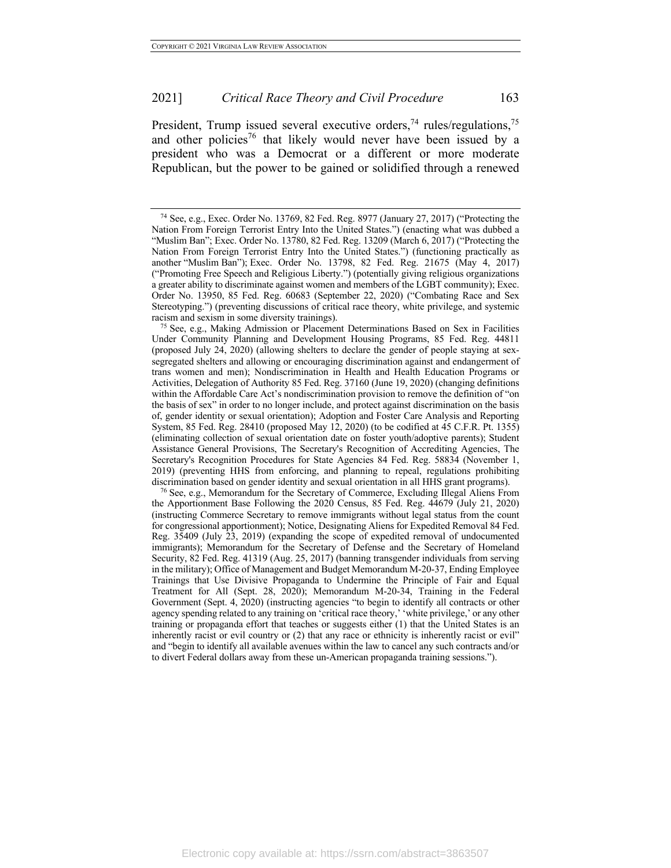President, Trump issued several executive orders,<sup>74</sup> rules/regulations,<sup>75</sup> and other policies<sup>76</sup> that likely would never have been issued by a president who was a Democrat or a different or more moderate Republican, but the power to be gained or solidified through a renewed

<sup>75</sup> See, e.g., Making Admission or Placement Determinations Based on Sex in Facilities Under Community Planning and Development Housing Programs, 85 Fed. Reg. 44811 (proposed July 24, 2020) (allowing shelters to declare the gender of people staying at sexsegregated shelters and allowing or encouraging discrimination against and endangerment of trans women and men); Nondiscrimination in Health and Health Education Programs or Activities, Delegation of Authority 85 Fed. Reg. 37160 (June 19, 2020) (changing definitions within the Affordable Care Act's nondiscrimination provision to remove the definition of "on the basis of sex" in order to no longer include, and protect against discrimination on the basis of, gender identity or sexual orientation); Adoption and Foster Care Analysis and Reporting System, 85 Fed. Reg. 28410 (proposed May 12, 2020) (to be codified at 45 C.F.R. Pt. 1355) (eliminating collection of sexual orientation date on foster youth/adoptive parents); Student Assistance General Provisions, The Secretary's Recognition of Accrediting Agencies, The Secretary's Recognition Procedures for State Agencies 84 Fed. Reg. 58834 (November 1, 2019) (preventing HHS from enforcing, and planning to repeal, regulations prohibiting discrimination based on gender identity and sexual orientation in all HHS grant programs).

<sup>76</sup> See, e.g., Memorandum for the Secretary of Commerce, Excluding Illegal Aliens From the Apportionment Base Following the 2020 Census, 85 Fed. Reg. 44679 (July 21, 2020) (instructing Commerce Secretary to remove immigrants without legal status from the count for congressional apportionment); Notice, Designating Aliens for Expedited Removal 84 Fed. Reg. 35409 (July 23, 2019) (expanding the scope of expedited removal of undocumented immigrants); Memorandum for the Secretary of Defense and the Secretary of Homeland Security, 82 Fed. Reg. 41319 (Aug. 25, 2017) (banning transgender individuals from serving in the military); Office of Management and Budget Memorandum M-20-37, Ending Employee Trainings that Use Divisive Propaganda to Undermine the Principle of Fair and Equal Treatment for All (Sept. 28, 2020); Memorandum M-20-34, Training in the Federal Government (Sept. 4, 2020) (instructing agencies "to begin to identify all contracts or other agency spending related to any training on 'critical race theory,' 'white privilege,' or any other training or propaganda effort that teaches or suggests either (1) that the United States is an inherently racist or evil country or (2) that any race or ethnicity is inherently racist or evil" and "begin to identify all available avenues within the law to cancel any such contracts and/or to divert Federal dollars away from these un-American propaganda training sessions.").

<sup>74</sup> See, e.g., Exec. Order No. 13769, 82 Fed. Reg. 8977 (January 27, 2017) ("Protecting the Nation From Foreign Terrorist Entry Into the United States.") (enacting what was dubbed a "Muslim Ban"; Exec. Order No. 13780, 82 Fed. Reg. 13209 (March 6, 2017) ("Protecting the Nation From Foreign Terrorist Entry Into the United States.") (functioning practically as another "Muslim Ban"); Exec. Order No. 13798, 82 Fed. Reg. 21675 (May 4, 2017) ("Promoting Free Speech and Religious Liberty.") (potentially giving religious organizations a greater ability to discriminate against women and members of the LGBT community); Exec. Order No. 13950, 85 Fed. Reg. 60683 (September 22, 2020) ("Combating Race and Sex Stereotyping.") (preventing discussions of critical race theory, white privilege, and systemic racism and sexism in some diversity trainings).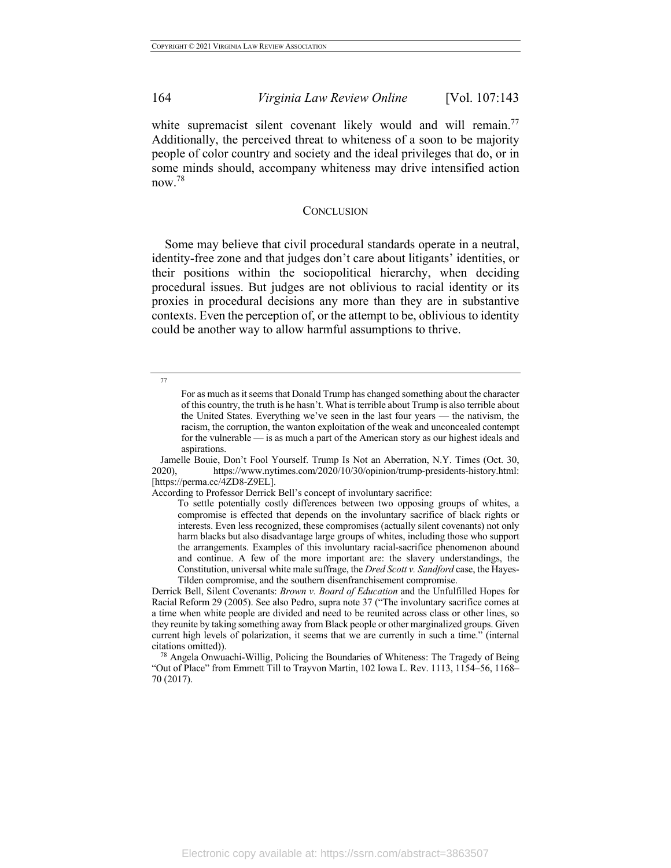white supremacist silent covenant likely would and will remain.<sup>77</sup> Additionally, the perceived threat to whiteness of a soon to be majority people of color country and society and the ideal privileges that do, or in some minds should, accompany whiteness may drive intensified action now.78

#### **CONCLUSION**

Some may believe that civil procedural standards operate in a neutral, identity-free zone and that judges don't care about litigants' identities, or their positions within the sociopolitical hierarchy, when deciding procedural issues. But judges are not oblivious to racial identity or its proxies in procedural decisions any more than they are in substantive contexts. Even the perception of, or the attempt to be, oblivious to identity could be another way to allow harmful assumptions to thrive.

According to Professor Derrick Bell's concept of involuntary sacrifice:

Derrick Bell, Silent Covenants: *Brown v. Board of Education* and the Unfulfilled Hopes for Racial Reform 29 (2005). See also Pedro, supra note 37 ("The involuntary sacrifice comes at a time when white people are divided and need to be reunited across class or other lines, so they reunite by taking something away from Black people or other marginalized groups. Given current high levels of polarization, it seems that we are currently in such a time." (internal

 $78$  Angela Onwuachi-Willig, Policing the Boundaries of Whiteness: The Tragedy of Being "Out of Place" from Emmett Till to Trayvon Martin, 102 Iowa L. Rev. 1113, 1154–56, 1168– 70 (2017).

<sup>77</sup>

For as much as it seems that Donald Trump has changed something about the character of this country, the truth is he hasn't. What is terrible about Trump is also terrible about the United States. Everything we've seen in the last four years — the nativism, the racism, the corruption, the wanton exploitation of the weak and unconcealed contempt for the vulnerable — is as much a part of the American story as our highest ideals and aspirations.

Jamelle Bouie, Don't Fool Yourself. Trump Is Not an Aberration, N.Y. Times (Oct. 30, 2020), https://www.nytimes.com/2020/10/30/opinion/trump-presidents-history.html: [https://perma.cc/4ZD8-Z9EL].

To settle potentially costly differences between two opposing groups of whites, a compromise is effected that depends on the involuntary sacrifice of black rights or interests. Even less recognized, these compromises (actually silent covenants) not only harm blacks but also disadvantage large groups of whites, including those who support the arrangements. Examples of this involuntary racial-sacrifice phenomenon abound and continue. A few of the more important are: the slavery understandings, the Constitution, universal white male suffrage, the *Dred Scott v. Sandford* case, the Hayes-Tilden compromise, and the southern disenfranchisement compromise.